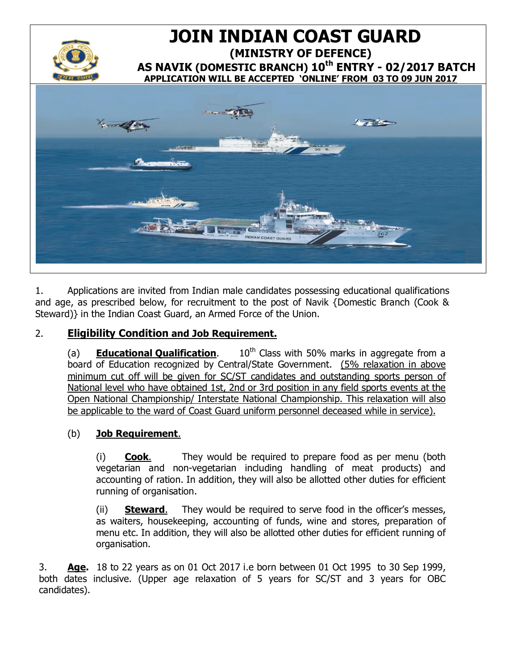

# 1 **JOIN INDIAN COAST GUARD (MINISTRY OF DEFENCE) AS NAVIK (DOMESTIC BRANCH) 10th ENTRY - 02/2017 BATCH APPLICATION WILL BE ACCEPTED 'ONLINE' FROM 03 TO 09 JUN 2017**



1. Applications are invited from Indian male candidates possessing educational qualifications and age, as prescribed below, for recruitment to the post of Navik {Domestic Branch (Cook & Steward)} in the Indian Coast Guard, an Armed Force of the Union.

## 2. **Eligibility Condition and Job Requirement.**

(a) **Educational Qualification**. 10<sup>th</sup> Class with 50% marks in aggregate from a board of Education recognized by Central/State Government. (5% relaxation in above minimum cut off will be given for SC/ST candidates and outstanding sports person of National level who have obtained 1st, 2nd or 3rd position in any field sports events at the Open National Championship/ Interstate National Championship. This relaxation will also be applicable to the ward of Coast Guard uniform personnel deceased while in service).

### (b) **Job Requirement**.

(i) **Cook**. They would be required to prepare food as per menu (both vegetarian and non-vegetarian including handling of meat products) and accounting of ration. In addition, they will also be allotted other duties for efficient running of organisation.

(ii) **Steward**. They would be required to serve food in the officer's messes, as waiters, housekeeping, accounting of funds, wine and stores, preparation of menu etc. In addition, they will also be allotted other duties for efficient running of organisation.

3. **Age.** 18 to 22 years as on 01 Oct 2017 i.e born between 01 Oct 1995 to 30 Sep 1999, both dates inclusive. (Upper age relaxation of 5 years for SC/ST and 3 years for OBC candidates).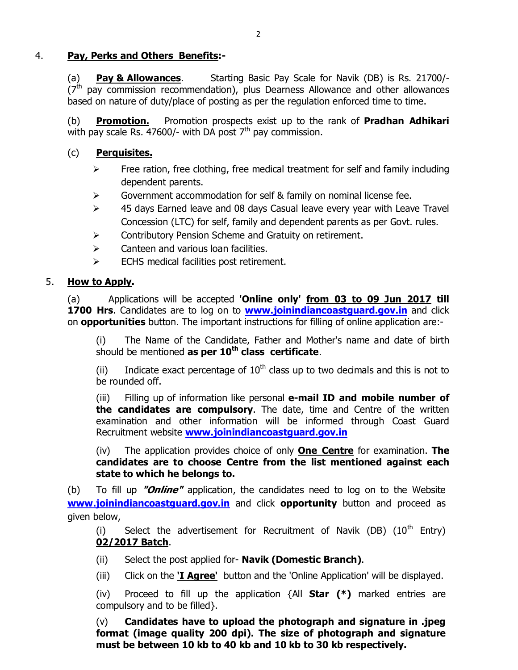### 4. **Pay, Perks and Others Benefits:-**

(a) **Pay & Allowances**. Starting Basic Pay Scale for Navik (DB) is Rs. 21700/-  $(7<sup>th</sup>$  pay commission recommendation), plus Dearness Allowance and other allowances based on nature of duty/place of posting as per the regulation enforced time to time.

(b) **Promotion.** Promotion prospects exist up to the rank of **Pradhan Adhikari** with pay scale Rs. 47600/- with DA post  $7<sup>th</sup>$  pay commission.

### (c) **Perquisites.**

- $\triangleright$  Free ration, free clothing, free medical treatment for self and family including dependent parents.
- $\triangleright$  Government accommodation for self & family on nominal license fee.
- $\geq$  45 days Earned leave and 08 days Casual leave every year with Leave Travel Concession (LTC) for self, family and dependent parents as per Govt. rules.
- $\triangleright$  Contributory Pension Scheme and Gratuity on retirement.
- $\triangleright$  Canteen and various loan facilities.
- $\triangleright$  ECHS medical facilities post retirement.

### 5. **How to Apply.**

(a) Applications will be accepted **'Online only' from 03 to 09 Jun 2017 till**  1700 Hrs. Candidates are to log on to **www.joinindiancoastguard.gov.in** and click on **opportunities** button. The importa[nt instructions for filling of online applicatio](http://www.joinindiancoastguard.gov.in/)n are:-

(i) The Name of the Candidate, Father and Mother's name and date of birth should be mentioned **as per 10th class certificate**.

(ii) Indicate exact percentage of  $10<sup>th</sup>$  class up to two decimals and this is not to be rounded off.

(iii) Filling up of information like personal **e-mail ID and mobile number of the candidates are compulsory**. The date, time and Centre of the written examination and other information will be informed through Coast Guard Recruitment website **www.joinindiancoastguard.gov.in**

(iv) The application provides choice of only **One Centre** for examination. **The candidates are [to choose Centre from the list men](http://www.joinindiancoastguard.gov.in/)tioned against each state to which he belongs to.**

(b) To fill up **"Online"** application, the candidates need to log on to the Website **www.joinindiancoastguard.gov.in** and click **opportunity** button and proceed as given below,

(i) [Select the advertisem](http://www.joinindiancoastguard.go.in/)ent for Recruitment of Navik (DB)  $(10^{th}$  Entry) **02/2017 Batch**.

- (ii) Select the post applied for- **Navik (Domestic Branch)**.
- (iii) Click on the **'I Agree'** button and the 'Online Application' will be displayed.

(iv) Proceed to fill up the application {All **Star (\*)** marked entries are compulsory and to be filled}.

(v) **Candidates have to upload the photograph and signature in .jpeg format (image quality 200 dpi). The size of photograph and signature must be between 10 kb to 40 kb and 10 kb to 30 kb respectively.**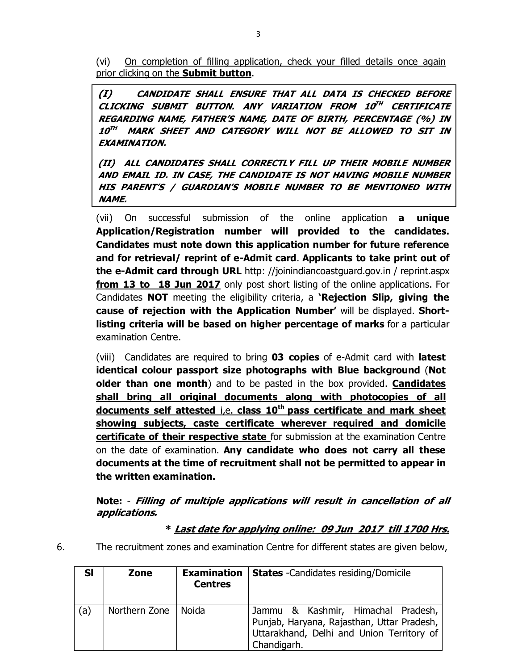(vi) On completion of filling application, check your filled details once again prior clicking on the **Submit button**.

**(I) CANDIDATE SHALL ENSURE THAT ALL DATA IS CHECKED BEFORE CLICKING SUBMIT BUTTON. ANY VARIATION FROM 10TH CERTIFICATE REGARDING NAME, FATHER'S NAME, DATE OF BIRTH, PERCENTAGE (%) IN 10TH MARK SHEET AND CATEGORY WILL NOT BE ALLOWED TO SIT IN EXAMINATION.** 

**(II) ALL CANDIDATES SHALL CORRECTLY FILL UP THEIR MOBILE NUMBER AND EMAIL ID. IN CASE, THE CANDIDATE IS NOT HAVING MOBILE NUMBER HIS PARENT'S / GUARDIAN'S MOBILE NUMBER TO BE MENTIONED WITH NAME.**

(vii) On successful submission of the online application **a unique Application/Registration number will provided to the candidates. Candidates must note down this application number for future reference and for retrieval/ reprint of e-Admit card**. **Applicants to take print out of the e-Admit card through URL** http: //joinindiancoastguard.gov.in / reprint.aspx **from 13 to 18 Jun 2017** only [post short listing of the online applications.](http://joinindiancoastguard.gov.in/reprint.aspx) For Candidates **NOT** meeting the eligibility criteria, a **'Rejection Slip, giving the cause of rejection with the Application Number'** will be displayed. **Shortlisting criteria will be based on higher percentage of marks** for a particular examination Centre.

(viii) Candidates are required to bring **03 copies** of e-Admit card with **latest identical colour passport size photographs with Blue background** (**Not older than one month**) and to be pasted in the box provided. **Candidates shall bring all original documents along with photocopies of all documents self attested** i,e. **class 10th pass certificate and mark sheet showing subjects, caste certificate wherever required and domicile certificate of their respective state** for submission at the examination Centre on the date of examination. **Any candidate who does not carry all these documents at the time of recruitment shall not be permitted to appear in the written examination.** 

**Note:** - **Filling of multiple applications will result in cancellation of all applications.**

### **\* Last date for applying online: 09 Jun 2017 till 1700 Hrs.**

6. The recruitment zones and examination Centre for different states are given below,

| <b>SI</b> | Zone          | <b>Examination</b><br><b>Centres</b> | <b>States</b> - Candidates residing/Domicile                                                                                                 |
|-----------|---------------|--------------------------------------|----------------------------------------------------------------------------------------------------------------------------------------------|
| (a)       | Northern Zone | l Noida                              | Jammu & Kashmir, Himachal Pradesh,<br>Punjab, Haryana, Rajasthan, Uttar Pradesh,<br>Uttarakhand, Delhi and Union Territory of<br>Chandigarh. |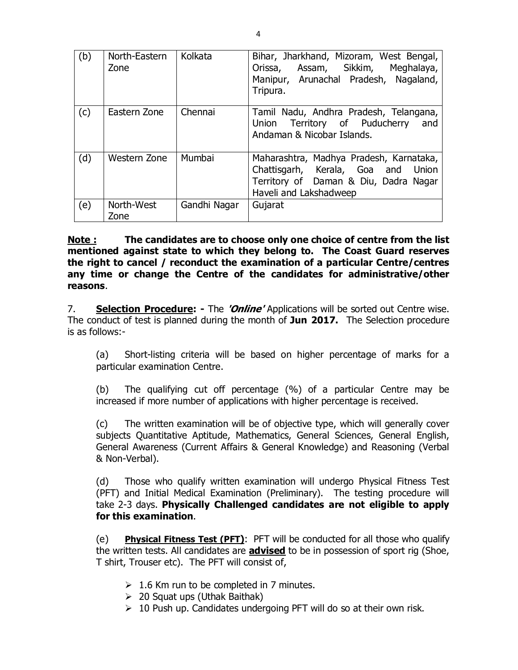| (b) | North-Eastern<br>Zone | Kolkata      | Bihar, Jharkhand, Mizoram, West Bengal,<br>Assam, Sikkim,<br>Meghalaya,<br>Orissa,<br>Manipur, Arunachal Pradesh, Nagaland,<br>Tripura.             |
|-----|-----------------------|--------------|-----------------------------------------------------------------------------------------------------------------------------------------------------|
| (c) | Eastern Zone          | Chennai      | Tamil Nadu, Andhra Pradesh, Telangana,<br>Union Territory of Puducherry<br>and<br>Andaman & Nicobar Islands.                                        |
| (d) | Western Zone          | Mumbai       | Maharashtra, Madhya Pradesh, Karnataka,<br>Chattisgarh, Kerala, Goa and<br>Union<br>Territory of Daman & Diu, Dadra Nagar<br>Haveli and Lakshadweep |
| (e) | North-West<br>Zone    | Gandhi Nagar | Gujarat                                                                                                                                             |

**Note : The candidates are to choose only one choice of centre from the list mentioned against state to which they belong to. The Coast Guard reserves the right to cancel / reconduct the examination of a particular Centre/centres any time or change the Centre of the candidates for administrative/other reasons**.

7. **Selection Procedure: -** The **'Online'** Applications will be sorted out Centre wise. The conduct of test is planned during the month of **Jun 2017.** The Selection procedure is as follows:-

(a) Short-listing criteria will be based on higher percentage of marks for a particular examination Centre.

(b) The qualifying cut off percentage (%) of a particular Centre may be increased if more number of applications with higher percentage is received.

(c) The written examination will be of objective type, which will generally cover subjects Quantitative Aptitude, Mathematics, General Sciences, General English, General Awareness (Current Affairs & General Knowledge) and Reasoning (Verbal & Non-Verbal).

(d) Those who qualify written examination will undergo Physical Fitness Test (PFT) and Initial Medical Examination (Preliminary). The testing procedure will take 2-3 days. **Physically Challenged candidates are not eligible to apply for this examination**.

(e) **Physical Fitness Test (PFT)**: PFT will be conducted for all those who qualify the written tests. All candidates are **advised** to be in possession of sport rig (Shoe, T shirt, Trouser etc). The PFT will consist of,

- $\geq 1.6$  Km run to be completed in 7 minutes.
- $\geq 20$  Squat ups (Uthak Baithak)
- $\geq 10$  Push up. Candidates undergoing PFT will do so at their own risk.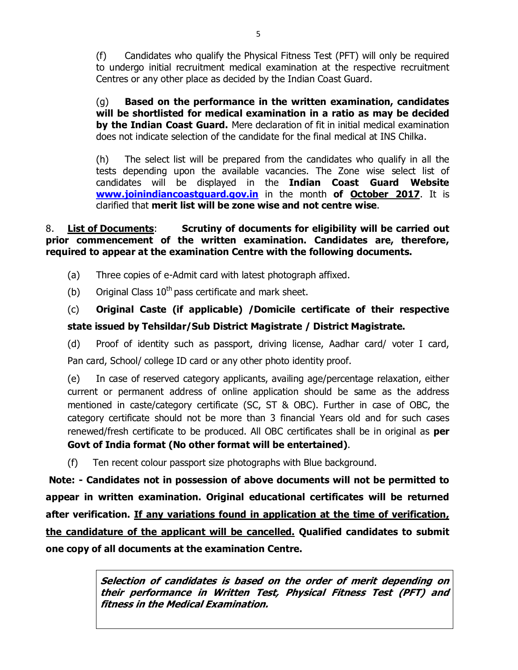(f) Candidates who qualify the Physical Fitness Test (PFT) will only be required to undergo initial recruitment medical examination at the respective recruitment Centres or any other place as decided by the Indian Coast Guard.

(g) **Based on the performance in the written examination, candidates will be shortlisted for medical examination in a ratio as may be decided by the Indian Coast Guard.** Mere declaration of fit in initial medical examination does not indicate selection of the candidate for the final medical at INS Chilka.

(h) The select list will be prepared from the candidates who qualify in all the tests depending upon the available vacancies. The Zone wise select list of candidates will be displayed in the **Indian Coast Guard Website www.joinindiancoastguard.gov.in** in the month **of October 2017**. It is clarified that **[merit list will be zone](http://www.joinindiancoastguard.go.in/) wise and not centre wise**.

### 8. **List of Documents**: **Scrutiny of documents for eligibility will be carried out prior commencement of the written examination. Candidates are, therefore, required to appear at the examination Centre with the following documents.**

- (a) Three copies of e-Admit card with latest photograph affixed.
- (b) Original Class  $10^{th}$  pass certificate and mark sheet.

(c) **Original Caste (if applicable) /Domicile certificate of their respective state issued by Tehsildar/Sub District Magistrate / District Magistrate.**

(d) Proof of identity such as passport, driving license, Aadhar card/ voter I card, Pan card, School/ college ID card or any other photo identity proof.

(e) In case of reserved category applicants, availing age/percentage relaxation, either current or permanent address of online application should be same as the address mentioned in caste/category certificate (SC, ST & OBC). Further in case of OBC, the category certificate should not be more than 3 financial Years old and for such cases renewed/fresh certificate to be produced. All OBC certificates shall be in original as **per Govt of India format (No other format will be entertained)**.

(f) Ten recent colour passport size photographs with Blue background.

**Note: - Candidates not in possession of above documents will not be permitted to appear in written examination. Original educational certificates will be returned after verification. If any variations found in application at the time of verification, the candidature of the applicant will be cancelled. Qualified candidates to submit one copy of all documents at the examination Centre.**

> **Selection of candidates is based on the order of merit depending on their performance in Written Test, Physical Fitness Test (PFT) and fitness in the Medical Examination.**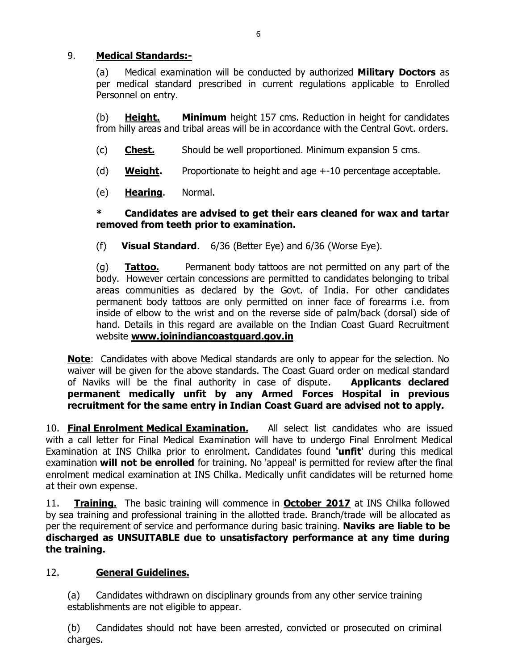### 9. **Medical Standards:-**

(a) Medical examination will be conducted by authorized **Military Doctors** as per medical standard prescribed in current regulations applicable to Enrolled Personnel on entry.

(b) **Height. Minimum** height 157 cms. Reduction in height for candidates from hilly areas and tribal areas will be in accordance with the Central Govt. orders.

- (c) **Chest.** Should be well proportioned. Minimum expansion 5 cms.
- (d) **Weight.** Proportionate to height and age +-10 percentage acceptable.
- (e) **Hearing**. Normal.

### **\* Candidates are advised to get their ears cleaned for wax and tartar removed from teeth prior to examination.**

(f) **Visual Standard**. 6/36 (Better Eye) and 6/36 (Worse Eye).

(g) **Tattoo.** Permanent body tattoos are not permitted on any part of the body. However certain concessions are permitted to candidates belonging to tribal areas communities as declared by the Govt. of India. For other candidates permanent body tattoos are only permitted on inner face of forearms i.e. from inside of elbow to the wrist and on the reverse side of palm/back (dorsal) side of hand. Details in this regard are available on the Indian Coast Guard Recruitment website **www.joinindiancoastguard.gov.in**

**Note**: Ca[ndidates with above Medical standards are](http://www.joinindiancoastguard.gov.in/) only to appear for the selection. No waiver will be given for the above standards. The Coast Guard order on medical standard of Naviks will be the final authority in case of dispute. **Applicants declared permanent medically unfit by any Armed Forces Hospital in previous recruitment for the same entry in Indian Coast Guard are advised not to apply.**

10. **Final Enrolment Medical Examination.** All select list candidates who are issued with a call letter for Final Medical Examination will have to undergo Final Enrolment Medical Examination at INS Chilka prior to enrolment. Candidates found **'unfit'** during this medical examination **will not be enrolled** for training. No 'appeal' is permitted for review after the final enrolment medical examination at INS Chilka. Medically unfit candidates will be returned home at their own expense.

11. **Training.** The basic training will commence in **October 2017** at INS Chilka followed by sea training and professional training in the allotted trade. Branch/trade will be allocated as per the requirement of service and performance during basic training. **Naviks are liable to be discharged as UNSUITABLE due to unsatisfactory performance at any time during the training.**

### 12. **General Guidelines.**

(a) Candidates withdrawn on disciplinary grounds from any other service training establishments are not eligible to appear.

(b) Candidates should not have been arrested, convicted or prosecuted on criminal charges.